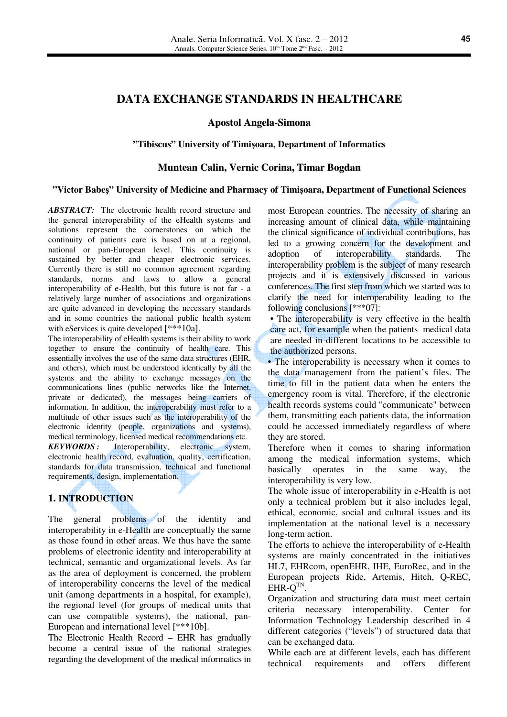# **DATA EXCHANGE STANDARDS IN HEALTHCARE**

### **Apostol Angela-Simona**

#### **"Tibiscus" University of Timi**ş**oara, Department of Informatics**

#### **Muntean Calin, Vernic Corina, Timar Bogdan**

#### **"Victor Babe**ş**" University of Medicine and Pharmacy of Timi**ş**oara, Department of Functional Sciences**

*ABSTRACT:* The electronic health record structure and the general interoperability of the eHealth systems and solutions represent the cornerstones on which the continuity of patients care is based on at a regional, national or pan-European level. This continuity is sustained by better and cheaper electronic services. Currently there is still no common agreement regarding standards, norms and laws to allow a general interoperability of e-Health, but this future is not far - a relatively large number of associations and organizations are quite advanced in developing the necessary standards and in some countries the national public health system with eServices is quite developed [\*\*\*10a].

The interoperability of eHealth systems is their ability to work together to ensure the continuity of health care. This essentially involves the use of the same data structures (EHR, and others), which must be understood identically by all the systems and the ability to exchange messages on the communications lines (public networks like the Internet, private or dedicated), the messages being carriers of information. In addition, the interoperability must refer to a multitude of other issues such as the interoperability of the electronic identity (people, organizations and systems), medical terminology, licensed medical recommendations etc. *KEYWORDS***:** Interoperability, electronic system, electronic health record, evaluation, quality, certification, standards for data transmission, technical and functional requirements, design, implementation.

### **1. INTRODUCTION**

The general problems of the identity and interoperability in e-Health are conceptually the same as those found in other areas. We thus have the same problems of electronic identity and interoperability at technical, semantic and organizational levels. As far as the area of deployment is concerned, the problem of interoperability concerns the level of the medical unit (among departments in a hospital, for example), the regional level (for groups of medical units that can use compatible systems), the national, pan-European and international level [\*\*\*10b].

The Electronic Health Record – EHR has gradually become a central issue of the national strategies regarding the development of the medical informatics in most European countries. The necessity of sharing an increasing amount of clinical data, while maintaining the clinical significance of individual contributions, has led to a growing concern for the development and adoption of interoperability standards. The interoperability problem is the subject of many research projects and it is extensively discussed in various conferences. The first step from which we started was to clarify the need for interoperability leading to the following conclusions [\*\*\*07]:

• The interoperability is very effective in the health care act, for example when the patients medical data are needed in different locations to be accessible to the authorized persons.

• The interoperability is necessary when it comes to the data management from the patient's files. The time to fill in the patient data when he enters the emergency room is vital. Therefore, if the electronic health records systems could "communicate" between them, transmitting each patients data, the information could be accessed immediately regardless of where they are stored.

Therefore when it comes to sharing information among the medical information systems, which basically operates in the same way, the interoperability is very low.

The whole issue of interoperability in e-Health is not only a technical problem but it also includes legal, ethical, economic, social and cultural issues and its implementation at the national level is a necessary long-term action.

The efforts to achieve the interoperability of e-Health systems are mainly concentrated in the initiatives HL7, EHRcom, openEHR, IHE, EuroRec, and in the European projects Ride, Artemis, Hitch, Q-REC,  $EHR-Q^{TN}$ .

Organization and structuring data must meet certain criteria necessary interoperability. Center for Information Technology Leadership described in 4 different categories ("levels") of structured data that can be exchanged data.

While each are at different levels, each has different technical requirements and offers different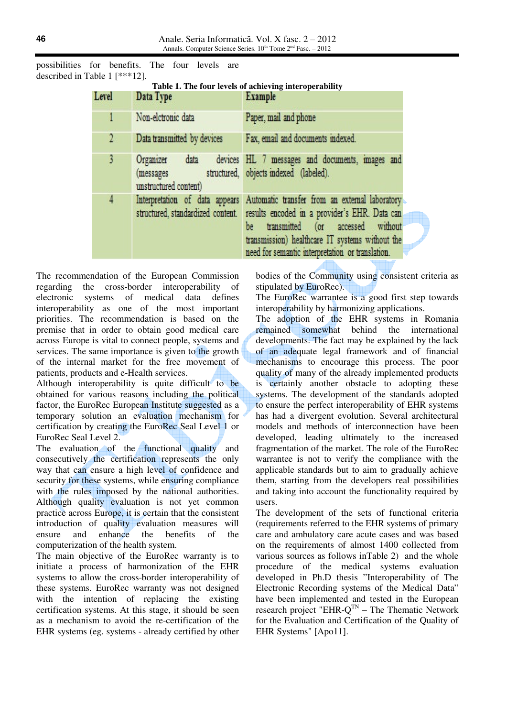possibilities for benefits. The four levels are described in Table 1 [\*\*\*12].

| Level | Data Type                                       | Table 1. The four levels of achieving interoperability<br><b>Example</b>                                                                                                                                                                                                        |  |  |  |  |  |
|-------|-------------------------------------------------|---------------------------------------------------------------------------------------------------------------------------------------------------------------------------------------------------------------------------------------------------------------------------------|--|--|--|--|--|
|       | Non-eletronic data                              | Paper, mail and phone                                                                                                                                                                                                                                                           |  |  |  |  |  |
| 2     | Data transmitted by devices                     | Fax, email and documents indexed.                                                                                                                                                                                                                                               |  |  |  |  |  |
| 3     | Organizer<br>(messages<br>unstructured content) | data devices HL 7 messages and documents, images and<br>structured, objects indexed (labeled).                                                                                                                                                                                  |  |  |  |  |  |
| 4     | structured, standardized content.               | Interpretation of data appears Automatic transfer from an external laboratory<br>results encoded in a provider's EHR. Data can<br>transmitted (or accessed without<br>be<br>transmission) healthcare IT systems without the<br>need for semantic interpretation or translation. |  |  |  |  |  |

The recommendation of the European Commission regarding the cross-border interoperability of electronic systems of medical data defines interoperability as one of the most important priorities. The recommendation is based on the premise that in order to obtain good medical care across Europe is vital to connect people, systems and services. The same importance is given to the growth of the internal market for the free movement of patients, products and e-Health services.

Although interoperability is quite difficult to be obtained for various reasons including the political factor, the EuroRec European Institute suggested as a temporary solution an evaluation mechanism for certification by creating the EuroRec Seal Level 1 or EuroRec Seal Level 2.

The evaluation of the functional quality and consecutively the certification represents the only way that can ensure a high level of confidence and security for these systems, while ensuring compliance with the rules imposed by the national authorities. Although quality evaluation is not yet common practice across Europe, it is certain that the consistent introduction of quality evaluation measures will ensure and enhance the benefits of the computerization of the health system.

The main objective of the EuroRec warranty is to initiate a process of harmonization of the EHR systems to allow the cross-border interoperability of these systems. EuroRec warranty was not designed with the intention of replacing the existing certification systems. At this stage, it should be seen as a mechanism to avoid the re-certification of the EHR systems (eg. systems - already certified by other bodies of the Community using consistent criteria as stipulated by EuroRec).

The EuroRec warrantee is a good first step towards interoperability by harmonizing applications.

The adoption of the EHR systems in Romania remained somewhat behind the international developments. The fact may be explained by the lack of an adequate legal framework and of financial mechanisms to encourage this process. The poor quality of many of the already implemented products is certainly another obstacle to adopting these systems. The development of the standards adopted to ensure the perfect interoperability of EHR systems has had a divergent evolution. Several architectural models and methods of interconnection have been developed, leading ultimately to the increased fragmentation of the market. The role of the EuroRec warrantee is not to verify the compliance with the applicable standards but to aim to gradually achieve them, starting from the developers real possibilities and taking into account the functionality required by users.

The development of the sets of functional criteria (requirements referred to the EHR systems of primary care and ambulatory care acute cases and was based on the requirements of almost 1400 collected from various sources as follows inTable 2) and the whole procedure of the medical systems evaluation developed in Ph.D thesis "Interoperability of The Electronic Recording systems of the Medical Data" have been implemented and tested in the European research project "EHR- $Q^{TN}$  – The Thematic Network for the Evaluation and Certification of the Quality of EHR Systems" [Apo11].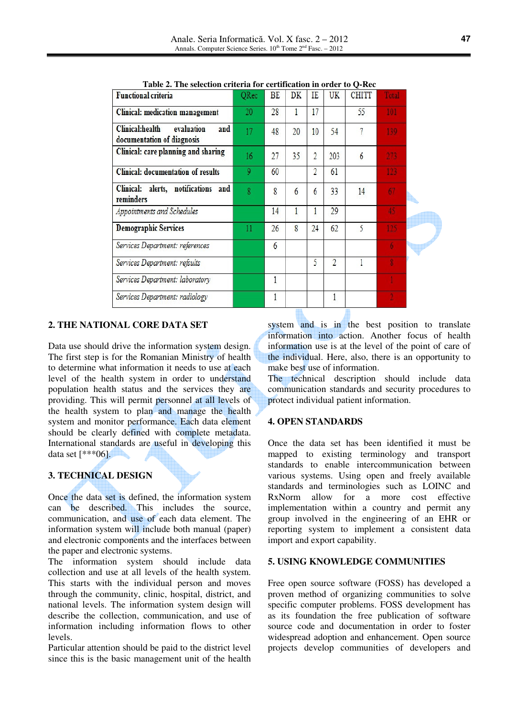| Table 2. The selection criteria for certification in order to O-Kec |                |    |    |                          |                |              |       |  |  |
|---------------------------------------------------------------------|----------------|----|----|--------------------------|----------------|--------------|-------|--|--|
| <b>Functional criteria</b>                                          | QRec           | BE | DK | IE                       | UK             | <b>CHITT</b> | Total |  |  |
| <b>Clinical: medication management</b>                              | 20             | 28 | 1  | 17                       |                | 55           | 101   |  |  |
| Clinical:health<br>and<br>evaluation<br>documentation of diagnosis  | 17             | 48 | 20 | 10                       | 54             | 7            | 139   |  |  |
| Clinical: care planning and sharing                                 | 16             | 27 | 35 | $\overline{2}$           | 203            | 6            | 273   |  |  |
| <b>Clinical:</b> documentation of results                           | 9              | 60 |    | $\overline{\mathcal{L}}$ | 61             |              | 123   |  |  |
| Clinical: alerts, notifications and<br>reminders                    | $\overline{8}$ | 8  | 6  | 6                        | 33             | 14           | 67    |  |  |
| Appointments and Schedules                                          |                | 14 | 1  |                          | 29             |              | 45    |  |  |
| <b>Demographic Services</b>                                         | $_{11}$        | 26 | 8  | 24                       | 62             | 5            | 125   |  |  |
| Services Department: references                                     |                | 6  |    |                          |                |              | 6     |  |  |
| Services Department: refsults                                       |                |    |    | 5                        | $\overline{2}$ |              |       |  |  |
| Services Department: laboratory                                     |                | 1  |    |                          |                |              |       |  |  |
| Services Department: radiology                                      |                |    |    |                          |                |              |       |  |  |

**Table 2. The selection criteria for certification in order to Q-Rec** 

#### **2. THE NATIONAL CORE DATA SET**

Data use should drive the information system design. The first step is for the Romanian Ministry of health to determine what information it needs to use at each level of the health system in order to understand population health status and the services they are providing. This will permit personnel at all levels of the health system to plan and manage the health system and monitor performance. Each data element should be clearly defined with complete metadata. International standards are useful in developing this data set  $[***06]$ .

### **3. TECHNICAL DESIGN**

Once the data set is defined, the information system can be described. This includes the source, communication, and use of each data element. The information system will include both manual (paper) and electronic components and the interfaces between the paper and electronic systems.

The information system should include data collection and use at all levels of the health system. This starts with the individual person and moves through the community, clinic, hospital, district, and national levels. The information system design will describe the collection, communication, and use of information including information flows to other levels.

Particular attention should be paid to the district level since this is the basic management unit of the health

system and is in the best position to translate information into action. Another focus of health information use is at the level of the point of care of the individual. Here, also, there is an opportunity to make best use of information.

The technical description should include data communication standards and security procedures to protect individual patient information.

#### **4. OPEN STANDARDS**

Once the data set has been identified it must be mapped to existing terminology and transport standards to enable intercommunication between various systems. Using open and freely available standards and terminologies such as LOINC and RxNorm allow for a more cost effective implementation within a country and permit any group involved in the engineering of an EHR or reporting system to implement a consistent data import and export capability.

#### **5. USING KNOWLEDGE COMMUNITIES**

Free open source software (FOSS) has developed a proven method of organizing communities to solve specific computer problems. FOSS development has as its foundation the free publication of software source code and documentation in order to foster widespread adoption and enhancement. Open source projects develop communities of developers and